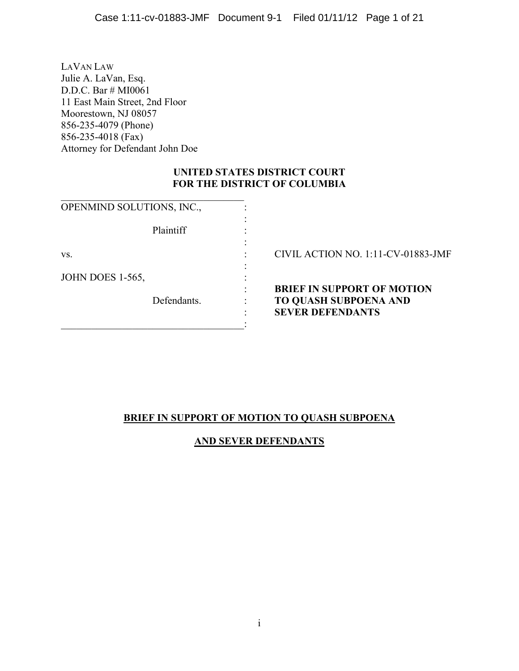LAVAN LAW Julie A. LaVan, Esq. D.D.C. Bar # MI0061 11 East Main Street, 2nd Floor Moorestown, NJ 08057 856-235-4079 (Phone) 856-235-4018 (Fax) Attorney for Defendant John Doe

## **UNITED STATES DISTRICT COURT FOR THE DISTRICT OF COLUMBIA**

| OPENMIND SOLUTIONS, INC., |                                    |
|---------------------------|------------------------------------|
| Plaintiff                 |                                    |
| VS.                       | CIVIL ACTION NO. 1:11-CV-01883-JMF |
| <b>JOHN DOES 1-565,</b>   |                                    |
|                           | <b>BRIEF IN SUPPORT OF MOTION</b>  |
| Defendants.               | <b>TO QUASH SUBPOENA AND</b>       |
|                           | <b>SEVER DEFENDANTS</b>            |
|                           |                                    |

# **BRIEF IN SUPPORT OF MOTION TO QUASH SUBPOENA**

# **AND SEVER DEFENDANTS**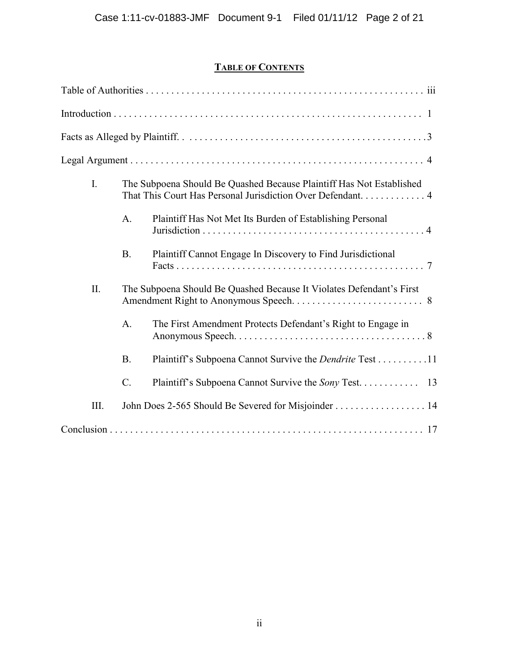# **TABLE OF CONTENTS**

| $\mathbf{I}$ . |                 | The Subpoena Should Be Quashed Because Plaintiff Has Not Established |  |
|----------------|-----------------|----------------------------------------------------------------------|--|
|                | $\mathbf{A}$ .  | Plaintiff Has Not Met Its Burden of Establishing Personal            |  |
|                | <b>B.</b>       | Plaintiff Cannot Engage In Discovery to Find Jurisdictional          |  |
| II.            |                 | The Subpoena Should Be Quashed Because It Violates Defendant's First |  |
|                | $\mathbf{A}$ .  | The First Amendment Protects Defendant's Right to Engage in          |  |
|                | <b>B.</b>       | Plaintiff's Subpoena Cannot Survive the <i>Dendrite</i> Test 11      |  |
|                | $\mathcal{C}$ . |                                                                      |  |
| Ш.             |                 | John Does 2-565 Should Be Severed for Misjoinder 14                  |  |
|                |                 |                                                                      |  |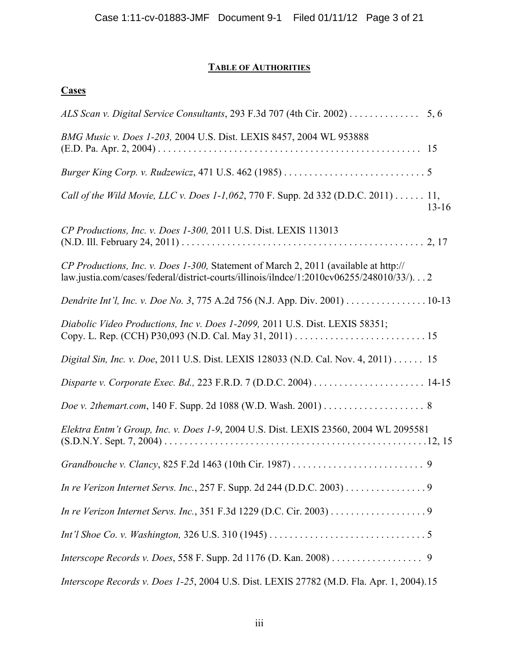# **TABLE OF AUTHORITIES**

# **Cases**

| ALS Scan v. Digital Service Consultants, 293 F.3d 707 (4th Cir. 2002) 5, 6                                                                                                      |           |
|---------------------------------------------------------------------------------------------------------------------------------------------------------------------------------|-----------|
| BMG Music v. Does 1-203, 2004 U.S. Dist. LEXIS 8457, 2004 WL 953888                                                                                                             |           |
|                                                                                                                                                                                 |           |
| Call of the Wild Movie, LLC v. Does 1-1,062, 770 F. Supp. 2d 332 (D.D.C. 2011) 11,                                                                                              | $13 - 16$ |
| CP Productions, Inc. v. Does 1-300, 2011 U.S. Dist. LEXIS 113013                                                                                                                |           |
| CP Productions, Inc. v. Does 1-300, Statement of March 2, 2011 (available at http://<br>law.justia.com/cases/federal/district-courts/illinois/ilndce/1:2010cv06255/248010/33/)2 |           |
| Dendrite Int'l, Inc. v. Doe No. 3, 775 A.2d 756 (N.J. App. Div. 2001) 10-13                                                                                                     |           |
| Diabolic Video Productions, Inc v. Does 1-2099, 2011 U.S. Dist. LEXIS 58351;                                                                                                    |           |
| Digital Sin, Inc. v. Doe, 2011 U.S. Dist. LEXIS 128033 (N.D. Cal. Nov. 4, 2011) 15                                                                                              |           |
|                                                                                                                                                                                 |           |
| Doe v. 2themart.com, 140 F. Supp. 2d 1088 (W.D. Wash. 2001) 8                                                                                                                   |           |
| Elektra Entm't Group, Inc. v. Does 1-9, 2004 U.S. Dist. LEXIS 23560, 2004 WL 2095581                                                                                            |           |
|                                                                                                                                                                                 |           |
| In re Verizon Internet Servs. Inc., 257 F. Supp. 2d 244 (D.D.C. 2003) 9                                                                                                         |           |
|                                                                                                                                                                                 |           |
|                                                                                                                                                                                 |           |
| Interscope Records v. Does, 558 F. Supp. 2d 1176 (D. Kan. 2008) 9                                                                                                               |           |
| Interscope Records v. Does 1-25, 2004 U.S. Dist. LEXIS 27782 (M.D. Fla. Apr. 1, 2004).15                                                                                        |           |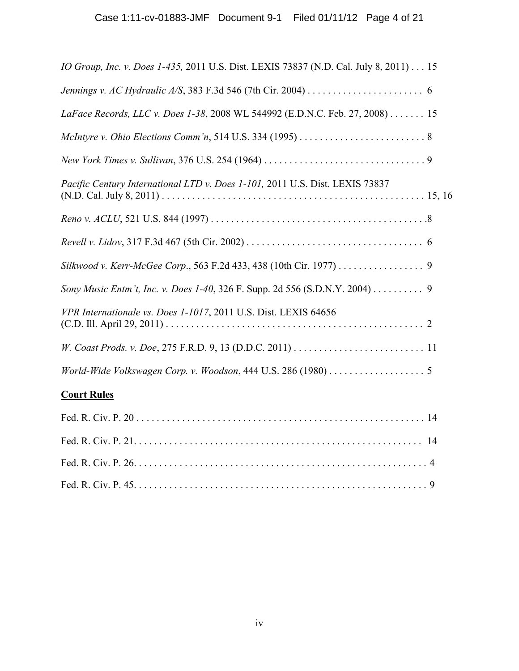| IO Group, Inc. v. Does 1-435, 2011 U.S. Dist. LEXIS 73837 (N.D. Cal. July 8, 2011) 15 |
|---------------------------------------------------------------------------------------|
|                                                                                       |
| LaFace Records, LLC v. Does 1-38, 2008 WL 544992 (E.D.N.C. Feb. 27, 2008) 15          |
|                                                                                       |
|                                                                                       |
| Pacific Century International LTD v. Does 1-101, 2011 U.S. Dist. LEXIS 73837          |
|                                                                                       |
|                                                                                       |
| Silkwood v. Kerr-McGee Corp., 563 F.2d 433, 438 (10th Cir. 1977) 9                    |
| Sony Music Entm't, Inc. v. Does 1-40, 326 F. Supp. 2d 556 (S.D.N.Y. 2004) 9           |
| VPR Internationale vs. Does 1-1017, 2011 U.S. Dist. LEXIS 64656                       |
|                                                                                       |
| World-Wide Volkswagen Corp. v. Woodson, 444 U.S. 286 (1980) 5                         |
| <b>Court Rules</b>                                                                    |
|                                                                                       |
|                                                                                       |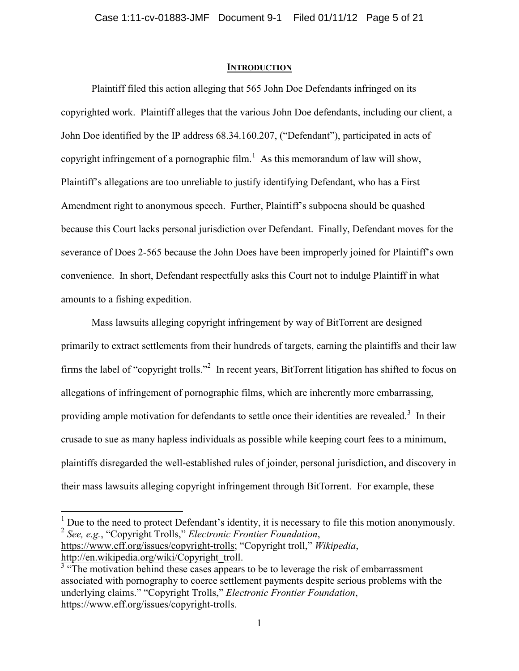#### **INTRODUCTION**

Plaintiff filed this action alleging that 565 John Doe Defendants infringed on its copyrighted work. Plaintiff alleges that the various John Doe defendants, including our client, a John Doe identified by the IP address 68.34.160.207, ("Defendant"), participated in acts of copyright infringement of a pornographic film.<sup>1</sup> As this memorandum of law will show, Plaintiff"s allegations are too unreliable to justify identifying Defendant, who has a First Amendment right to anonymous speech. Further, Plaintiff"s subpoena should be quashed because this Court lacks personal jurisdiction over Defendant. Finally, Defendant moves for the severance of Does 2-565 because the John Does have been improperly joined for Plaintiff"s own convenience. In short, Defendant respectfully asks this Court not to indulge Plaintiff in what amounts to a fishing expedition.

Mass lawsuits alleging copyright infringement by way of BitTorrent are designed primarily to extract settlements from their hundreds of targets, earning the plaintiffs and their law firms the label of "copyright trolls."<sup>2</sup> In recent years, BitTorrent litigation has shifted to focus on allegations of infringement of pornographic films, which are inherently more embarrassing, providing ample motivation for defendants to settle once their identities are revealed.<sup>3</sup> In their crusade to sue as many hapless individuals as possible while keeping court fees to a minimum, plaintiffs disregarded the well-established rules of joinder, personal jurisdiction, and discovery in their mass lawsuits alleging copyright infringement through BitTorrent. For example, these

<sup>1</sup> Due to the need to protect Defendant's identity, it is necessary to file this motion anonymously. 2 *See, e.g.*, "Copyright Trolls," *Electronic Frontier Foundation*, https://www.eff.org/issues/copyright-trolls; "Copyright troll," *Wikipedia*, http://en.wikipedia.org/wiki/Copyright\_troll.

 $\overline{a}$ 

<sup>&</sup>lt;sup>3</sup> "The motivation behind these cases appears to be to leverage the risk of embarrassment associated with pornography to coerce settlement payments despite serious problems with the underlying claims." "Copyright Trolls," *Electronic Frontier Foundation*, https://www.eff.org/issues/copyright-trolls.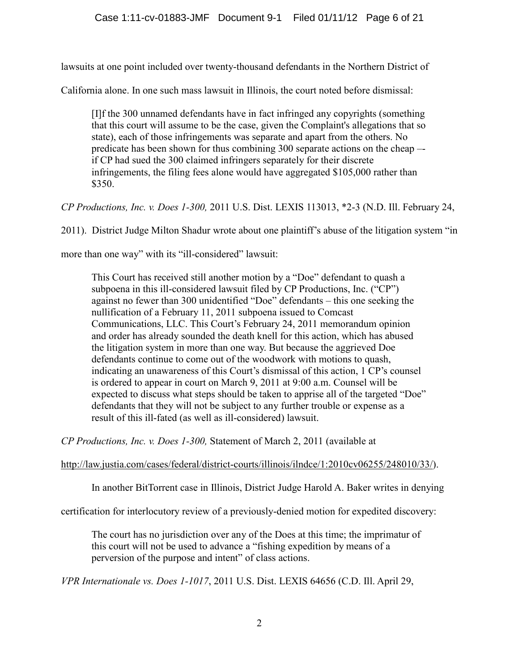lawsuits at one point included over twenty-thousand defendants in the Northern District of

California alone. In one such mass lawsuit in Illinois, the court noted before dismissal:

[I]f the 300 unnamed defendants have in fact infringed any copyrights (something that this court will assume to be the case, given the Complaint's allegations that so state), each of those infringements was separate and apart from the others. No predicate has been shown for thus combining 300 separate actions on the cheap – if CP had sued the 300 claimed infringers separately for their discrete infringements, the filing fees alone would have aggregated \$105,000 rather than \$350.

*CP Productions, Inc. v. Does 1-300,* 2011 U.S. Dist. LEXIS 113013, \*2-3 (N.D. Ill. February 24,

2011). District Judge Milton Shadur wrote about one plaintiff"s abuse of the litigation system "in

more than one way" with its "ill-considered" lawsuit:

This Court has received still another motion by a "Doe" defendant to quash a subpoena in this ill-considered lawsuit filed by CP Productions, Inc. ("CP") against no fewer than 300 unidentified "Doe" defendants – this one seeking the nullification of a February 11, 2011 subpoena issued to Comcast Communications, LLC. This Court"s February 24, 2011 memorandum opinion and order has already sounded the death knell for this action, which has abused the litigation system in more than one way. But because the aggrieved Doe defendants continue to come out of the woodwork with motions to quash, indicating an unawareness of this Court's dismissal of this action, 1 CP's counsel is ordered to appear in court on March 9, 2011 at 9:00 a.m. Counsel will be expected to discuss what steps should be taken to apprise all of the targeted "Doe" defendants that they will not be subject to any further trouble or expense as a result of this ill-fated (as well as ill-considered) lawsuit.

*CP Productions, Inc. v. Does 1-300,* Statement of March 2, 2011 (available at

http://law.justia.com/cases/federal/district-courts/illinois/ilndce/1:2010cv06255/248010/33/).

In another BitTorrent case in Illinois, District Judge Harold A. Baker writes in denying

certification for interlocutory review of a previously-denied motion for expedited discovery:

The court has no jurisdiction over any of the Does at this time; the imprimatur of this court will not be used to advance a "fishing expedition by means of a perversion of the purpose and intent" of class actions.

*VPR Internationale vs. Does 1-1017*, 2011 U.S. Dist. LEXIS 64656 (C.D. Ill. April 29,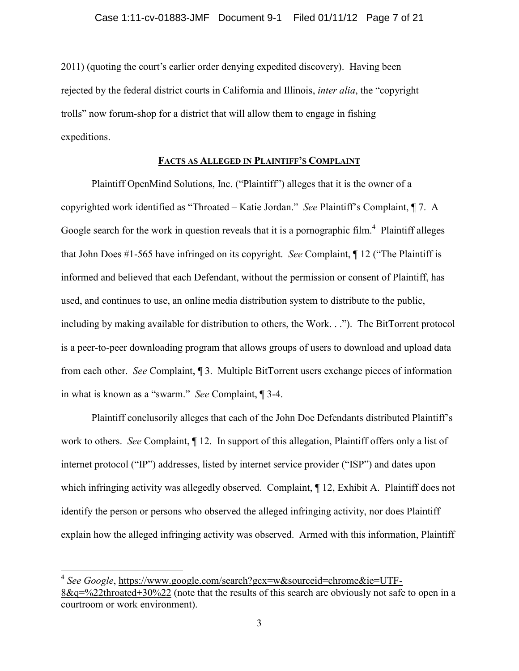2011) (quoting the court's earlier order denying expedited discovery). Having been rejected by the federal district courts in California and Illinois, *inter alia*, the "copyright trolls" now forum-shop for a district that will allow them to engage in fishing expeditions.

### **FACTS AS ALLEGED IN PLAINTIFF'S COMPLAINT**

Plaintiff OpenMind Solutions, Inc. ("Plaintiff") alleges that it is the owner of a copyrighted work identified as "Throated – Katie Jordan." *See* Plaintiff"s Complaint, ¶ 7. A Google search for the work in question reveals that it is a pornographic film.<sup>4</sup> Plaintiff alleges that John Does #1-565 have infringed on its copyright. *See* Complaint, ¶ 12 ("The Plaintiff is informed and believed that each Defendant, without the permission or consent of Plaintiff, has used, and continues to use, an online media distribution system to distribute to the public, including by making available for distribution to others, the Work. . ."). The BitTorrent protocol is a peer-to-peer downloading program that allows groups of users to download and upload data from each other. *See* Complaint, ¶ 3. Multiple BitTorrent users exchange pieces of information in what is known as a "swarm." *See* Complaint, ¶ 3-4.

Plaintiff conclusorily alleges that each of the John Doe Defendants distributed Plaintiff"s work to others. *See* Complaint, ¶ 12. In support of this allegation, Plaintiff offers only a list of internet protocol ("IP") addresses, listed by internet service provider ("ISP") and dates upon which infringing activity was allegedly observed. Complaint,  $\P$  12, Exhibit A. Plaintiff does not identify the person or persons who observed the alleged infringing activity, nor does Plaintiff explain how the alleged infringing activity was observed. Armed with this information, Plaintiff

 $\overline{a}$ 

<sup>4</sup> *See Google*, https://www.google.com/search?gcx=w&sourceid=chrome&ie=UTF-8&q=%22throated+30%22 (note that the results of this search are obviously not safe to open in a courtroom or work environment).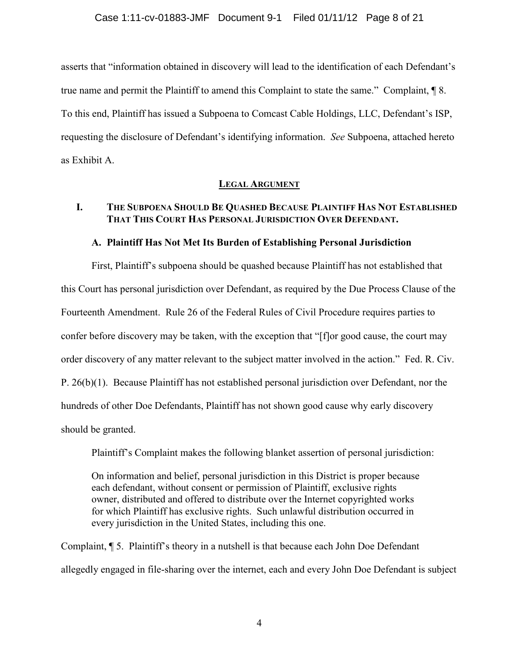asserts that "information obtained in discovery will lead to the identification of each Defendant"s true name and permit the Plaintiff to amend this Complaint to state the same." Complaint, ¶ 8. To this end, Plaintiff has issued a Subpoena to Comcast Cable Holdings, LLC, Defendant"s ISP, requesting the disclosure of Defendant"s identifying information. *See* Subpoena, attached hereto as Exhibit A.

### **LEGAL ARGUMENT**

### **I. THE SUBPOENA SHOULD BE QUASHED BECAUSE PLAINTIFF HAS NOT ESTABLISHED THAT THIS COURT HAS PERSONAL JURISDICTION OVER DEFENDANT.**

### **A. Plaintiff Has Not Met Its Burden of Establishing Personal Jurisdiction**

First, Plaintiff"s subpoena should be quashed because Plaintiff has not established that this Court has personal jurisdiction over Defendant, as required by the Due Process Clause of the Fourteenth Amendment. Rule 26 of the Federal Rules of Civil Procedure requires parties to confer before discovery may be taken, with the exception that "[f]or good cause, the court may order discovery of any matter relevant to the subject matter involved in the action." Fed. R. Civ. P. 26(b)(1). Because Plaintiff has not established personal jurisdiction over Defendant, nor the hundreds of other Doe Defendants, Plaintiff has not shown good cause why early discovery should be granted.

Plaintiff"s Complaint makes the following blanket assertion of personal jurisdiction:

On information and belief, personal jurisdiction in this District is proper because each defendant, without consent or permission of Plaintiff, exclusive rights owner, distributed and offered to distribute over the Internet copyrighted works for which Plaintiff has exclusive rights. Such unlawful distribution occurred in every jurisdiction in the United States, including this one.

Complaint, ¶ 5. Plaintiff"s theory in a nutshell is that because each John Doe Defendant allegedly engaged in file-sharing over the internet, each and every John Doe Defendant is subject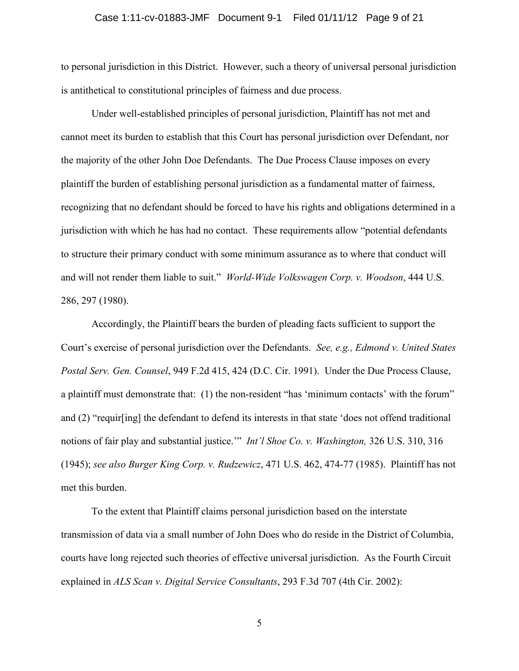#### Case 1:11-cv-01883-JMF Document 9-1 Filed 01/11/12 Page 9 of 21

to personal jurisdiction in this District. However, such a theory of universal personal jurisdiction is antithetical to constitutional principles of fairness and due process.

Under well-established principles of personal jurisdiction, Plaintiff has not met and cannot meet its burden to establish that this Court has personal jurisdiction over Defendant, nor the majority of the other John Doe Defendants. The Due Process Clause imposes on every plaintiff the burden of establishing personal jurisdiction as a fundamental matter of fairness, recognizing that no defendant should be forced to have his rights and obligations determined in a jurisdiction with which he has had no contact. These requirements allow "potential defendants to structure their primary conduct with some minimum assurance as to where that conduct will and will not render them liable to suit." *World-Wide Volkswagen Corp. v. Woodson*, 444 U.S. 286, 297 (1980).

Accordingly, the Plaintiff bears the burden of pleading facts sufficient to support the Court"s exercise of personal jurisdiction over the Defendants. *See, e.g., Edmond v. United States Postal Serv. Gen. Counsel*, 949 F.2d 415, 424 (D.C. Cir. 1991). Under the Due Process Clause, a plaintiff must demonstrate that: (1) the non-resident "has 'minimum contacts' with the forum" and (2) "requir[ing] the defendant to defend its interests in that state "does not offend traditional notions of fair play and substantial justice."" *Int'l Shoe Co. v. Washington,* 326 U.S. 310, 316 (1945); *see also Burger King Corp. v. Rudzewicz*, 471 U.S. 462, 474-77 (1985). Plaintiff has not met this burden.

To the extent that Plaintiff claims personal jurisdiction based on the interstate transmission of data via a small number of John Does who do reside in the District of Columbia, courts have long rejected such theories of effective universal jurisdiction. As the Fourth Circuit explained in *ALS Scan v. Digital Service Consultants*, 293 F.3d 707 (4th Cir. 2002):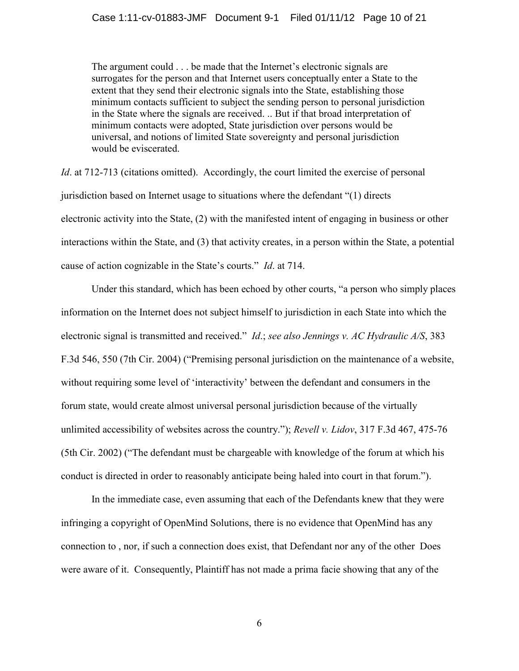The argument could . . . be made that the Internet's electronic signals are surrogates for the person and that Internet users conceptually enter a State to the extent that they send their electronic signals into the State, establishing those minimum contacts sufficient to subject the sending person to personal jurisdiction in the State where the signals are received. .. But if that broad interpretation of minimum contacts were adopted, State jurisdiction over persons would be universal, and notions of limited State sovereignty and personal jurisdiction would be eviscerated.

*Id.* at 712-713 (citations omitted). Accordingly, the court limited the exercise of personal jurisdiction based on Internet usage to situations where the defendant "(1) directs electronic activity into the State, (2) with the manifested intent of engaging in business or other interactions within the State, and (3) that activity creates, in a person within the State, a potential cause of action cognizable in the State"s courts." *Id*. at 714.

Under this standard, which has been echoed by other courts, "a person who simply places information on the Internet does not subject himself to jurisdiction in each State into which the electronic signal is transmitted and received." *Id*.; *see also Jennings v. AC Hydraulic A/S*, 383 F.3d 546, 550 (7th Cir. 2004) ("Premising personal jurisdiction on the maintenance of a website, without requiring some level of 'interactivity' between the defendant and consumers in the forum state, would create almost universal personal jurisdiction because of the virtually unlimited accessibility of websites across the country."); *Revell v. Lidov*, 317 F.3d 467, 475-76 (5th Cir. 2002) ("The defendant must be chargeable with knowledge of the forum at which his conduct is directed in order to reasonably anticipate being haled into court in that forum.").

In the immediate case, even assuming that each of the Defendants knew that they were infringing a copyright of OpenMind Solutions, there is no evidence that OpenMind has any connection to , nor, if such a connection does exist, that Defendant nor any of the other Does were aware of it. Consequently, Plaintiff has not made a prima facie showing that any of the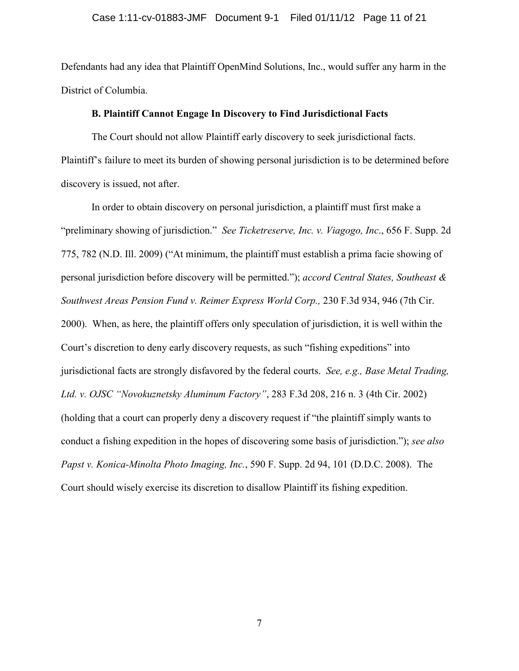Defendants had any idea that Plaintiff OpenMind Solutions, Inc., would suffer any harm in the District of Columbia.

#### **B. Plaintiff Cannot Engage In Discovery to Find Jurisdictional Facts**

The Court should not allow Plaintiff early discovery to seek jurisdictional facts. Plaintiff"s failure to meet its burden of showing personal jurisdiction is to be determined before discovery is issued, not after.

In order to obtain discovery on personal jurisdiction, a plaintiff must first make a "preliminary showing of jurisdiction." *See Ticketreserve, Inc. v. Viagogo, Inc*., 656 F. Supp. 2d 775, 782 (N.D. Ill. 2009) ("At minimum, the plaintiff must establish a prima facie showing of personal jurisdiction before discovery will be permitted."); *accord Central States, Southeast & Southwest Areas Pension Fund v. Reimer Express World Corp.,* 230 F.3d 934, 946 (7th Cir. 2000). When, as here, the plaintiff offers only speculation of jurisdiction, it is well within the Court"s discretion to deny early discovery requests, as such "fishing expeditions" into jurisdictional facts are strongly disfavored by the federal courts. *See, e.g., Base Metal Trading, Ltd. v. OJSC "Novokuznetsky Aluminum Factory"*, 283 F.3d 208, 216 n. 3 (4th Cir. 2002) (holding that a court can properly deny a discovery request if "the plaintiff simply wants to conduct a fishing expedition in the hopes of discovering some basis of jurisdiction."); *see also Papst v. Konica-Minolta Photo Imaging, Inc.*, 590 F. Supp. 2d 94, 101 (D.D.C. 2008). The Court should wisely exercise its discretion to disallow Plaintiff its fishing expedition.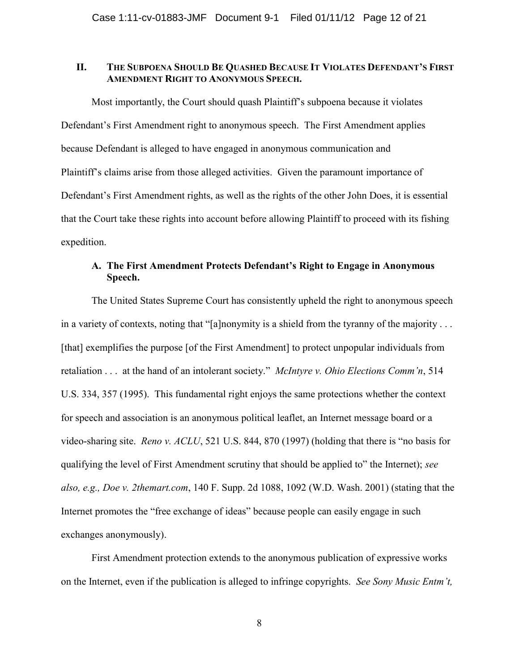#### II. THE SUBPOENA SHOULD BE QUASHED BECAUSE IT VIOLATES DEFENDANT'S FIRST **AMENDMENT RIGHT TO ANONYMOUS SPEECH.**

Most importantly, the Court should quash Plaintiff"s subpoena because it violates Defendant"s First Amendment right to anonymous speech. The First Amendment applies because Defendant is alleged to have engaged in anonymous communication and Plaintiff"s claims arise from those alleged activities. Given the paramount importance of Defendant"s First Amendment rights, as well as the rights of the other John Does, it is essential that the Court take these rights into account before allowing Plaintiff to proceed with its fishing expedition.

### **A. The First Amendment Protects Defendant's Right to Engage in Anonymous Speech.**

The United States Supreme Court has consistently upheld the right to anonymous speech in a variety of contexts, noting that "[a]nonymity is a shield from the tyranny of the majority . . . [that] exemplifies the purpose [of the First Amendment] to protect unpopular individuals from retaliation . . . at the hand of an intolerant society." *McIntyre v. Ohio Elections Comm'n*, 514 U.S. 334, 357 (1995). This fundamental right enjoys the same protections whether the context for speech and association is an anonymous political leaflet, an Internet message board or a video-sharing site. *Reno v. ACLU*, 521 U.S. 844, 870 (1997) (holding that there is "no basis for qualifying the level of First Amendment scrutiny that should be applied to" the Internet); *see also, e.g., Doe v. 2themart.com*, 140 F. Supp. 2d 1088, 1092 (W.D. Wash. 2001) (stating that the Internet promotes the "free exchange of ideas" because people can easily engage in such exchanges anonymously).

First Amendment protection extends to the anonymous publication of expressive works on the Internet, even if the publication is alleged to infringe copyrights. *See Sony Music Entm't,*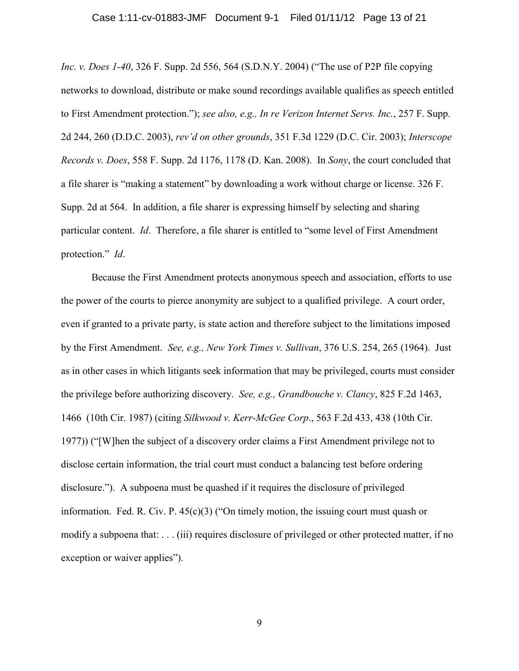#### Case 1:11-cv-01883-JMF Document 9-1 Filed 01/11/12 Page 13 of 21

*Inc. v. Does 1-40*, 326 F. Supp. 2d 556, 564 (S.D.N.Y. 2004) ("The use of P2P file copying networks to download, distribute or make sound recordings available qualifies as speech entitled to First Amendment protection."); *see also, e.g., In re Verizon Internet Servs. Inc.*, 257 F. Supp. 2d 244, 260 (D.D.C. 2003), *rev'd on other grounds*, 351 F.3d 1229 (D.C. Cir. 2003); *Interscope Records v. Does*, 558 F. Supp. 2d 1176, 1178 (D. Kan. 2008). In *Sony*, the court concluded that a file sharer is "making a statement" by downloading a work without charge or license. 326 F. Supp. 2d at 564. In addition, a file sharer is expressing himself by selecting and sharing particular content. *Id*. Therefore, a file sharer is entitled to "some level of First Amendment protection." *Id*.

Because the First Amendment protects anonymous speech and association, efforts to use the power of the courts to pierce anonymity are subject to a qualified privilege. A court order, even if granted to a private party, is state action and therefore subject to the limitations imposed by the First Amendment. *See, e.g., New York Times v. Sullivan*, 376 U.S. 254, 265 (1964). Just as in other cases in which litigants seek information that may be privileged, courts must consider the privilege before authorizing discovery. *See, e.g., Grandbouche v. Clancy*, 825 F.2d 1463, 1466 (10th Cir. 1987) (citing *Silkwood v. Kerr-McGee Corp*., 563 F.2d 433, 438 (10th Cir. 1977)) ("[W]hen the subject of a discovery order claims a First Amendment privilege not to disclose certain information, the trial court must conduct a balancing test before ordering disclosure."). A subpoena must be quashed if it requires the disclosure of privileged information. Fed. R. Civ. P.  $45(c)(3)$  ("On timely motion, the issuing court must quash or modify a subpoena that: . . . (iii) requires disclosure of privileged or other protected matter, if no exception or waiver applies").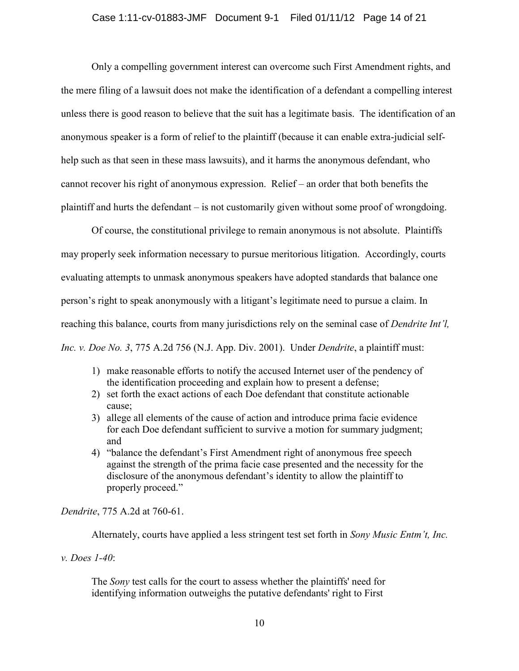Only a compelling government interest can overcome such First Amendment rights, and the mere filing of a lawsuit does not make the identification of a defendant a compelling interest unless there is good reason to believe that the suit has a legitimate basis. The identification of an anonymous speaker is a form of relief to the plaintiff (because it can enable extra-judicial selfhelp such as that seen in these mass lawsuits), and it harms the anonymous defendant, who cannot recover his right of anonymous expression. Relief – an order that both benefits the plaintiff and hurts the defendant – is not customarily given without some proof of wrongdoing.

Of course, the constitutional privilege to remain anonymous is not absolute. Plaintiffs may properly seek information necessary to pursue meritorious litigation. Accordingly, courts evaluating attempts to unmask anonymous speakers have adopted standards that balance one person"s right to speak anonymously with a litigant"s legitimate need to pursue a claim. In reaching this balance, courts from many jurisdictions rely on the seminal case of *Dendrite Int'l, Inc. v. Doe No. 3*, 775 A.2d 756 (N.J. App. Div. 2001). Under *Dendrite*, a plaintiff must:

- 1) make reasonable efforts to notify the accused Internet user of the pendency of the identification proceeding and explain how to present a defense;
- 2) set forth the exact actions of each Doe defendant that constitute actionable cause;
- 3) allege all elements of the cause of action and introduce prima facie evidence for each Doe defendant sufficient to survive a motion for summary judgment; and
- 4) "balance the defendant"s First Amendment right of anonymous free speech against the strength of the prima facie case presented and the necessity for the disclosure of the anonymous defendant's identity to allow the plaintiff to properly proceed."

*Dendrite*, 775 A.2d at 760-61.

Alternately, courts have applied a less stringent test set forth in *Sony Music Entm't, Inc.* 

*v. Does 1-40*:

The *Sony* test calls for the court to assess whether the plaintiffs' need for identifying information outweighs the putative defendants' right to First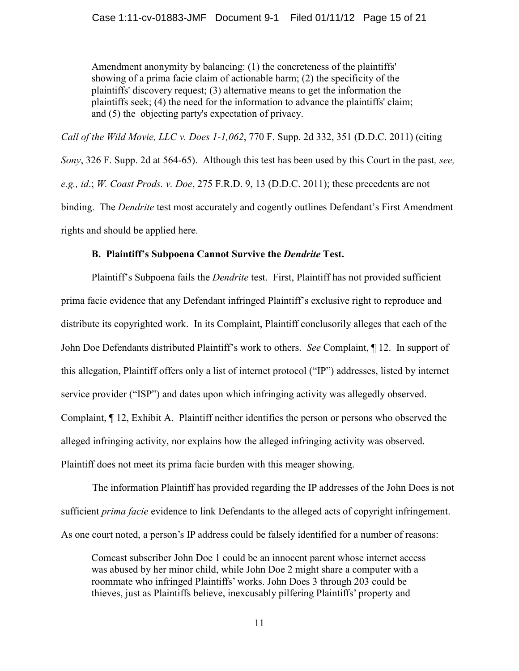Amendment anonymity by balancing: (1) the concreteness of the plaintiffs' showing of a prima facie claim of actionable harm; (2) the specificity of the plaintiffs' discovery request; (3) alternative means to get the information the plaintiffs seek; (4) the need for the information to advance the plaintiffs' claim; and (5) the objecting party's expectation of privacy.

*Call of the Wild Movie, LLC v. Does 1-1,062*, 770 F. Supp. 2d 332, 351 (D.D.C. 2011) (citing *Sony*, 326 F. Supp. 2d at 564-65). Although this test has been used by this Court in the past*, see, e.g., id*.; *W. Coast Prods. v. Doe*, 275 F.R.D. 9, 13 (D.D.C. 2011); these precedents are not binding. The *Dendrite* test most accurately and cogently outlines Defendant's First Amendment rights and should be applied here.

### **B. Plaintiff's Subpoena Cannot Survive the** *Dendrite* **Test.**

Plaintiff"s Subpoena fails the *Dendrite* test. First, Plaintiff has not provided sufficient prima facie evidence that any Defendant infringed Plaintiff"s exclusive right to reproduce and distribute its copyrighted work. In its Complaint, Plaintiff conclusorily alleges that each of the John Doe Defendants distributed Plaintiff"s work to others. *See* Complaint, ¶ 12. In support of this allegation, Plaintiff offers only a list of internet protocol ("IP") addresses, listed by internet service provider ("ISP") and dates upon which infringing activity was allegedly observed. Complaint, ¶ 12, Exhibit A. Plaintiff neither identifies the person or persons who observed the alleged infringing activity, nor explains how the alleged infringing activity was observed. Plaintiff does not meet its prima facie burden with this meager showing.

The information Plaintiff has provided regarding the IP addresses of the John Does is not sufficient *prima facie* evidence to link Defendants to the alleged acts of copyright infringement. As one court noted, a person's IP address could be falsely identified for a number of reasons:

Comcast subscriber John Doe 1 could be an innocent parent whose internet access was abused by her minor child, while John Doe 2 might share a computer with a roommate who infringed Plaintiffs" works. John Does 3 through 203 could be thieves, just as Plaintiffs believe, inexcusably pilfering Plaintiffs" property and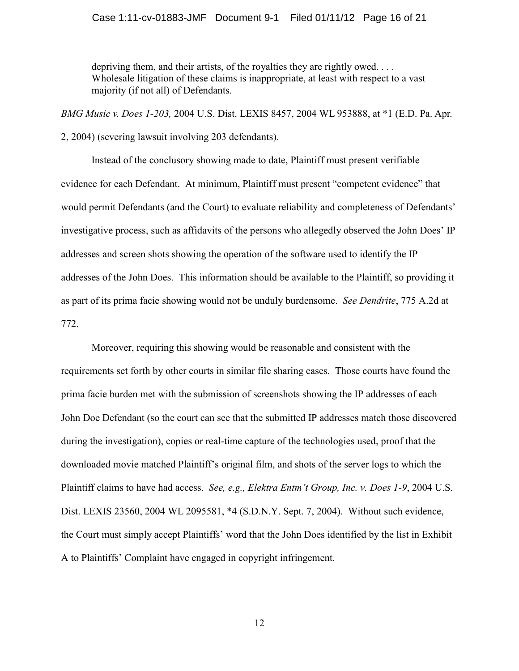#### Case 1:11-cv-01883-JMF Document 9-1 Filed 01/11/12 Page 16 of 21

depriving them, and their artists, of the royalties they are rightly owed... Wholesale litigation of these claims is inappropriate, at least with respect to a vast majority (if not all) of Defendants.

*BMG Music v. Does 1-203,* 2004 U.S. Dist. LEXIS 8457, 2004 WL 953888, at \*1 (E.D. Pa. Apr.

2, 2004) (severing lawsuit involving 203 defendants).

Instead of the conclusory showing made to date, Plaintiff must present verifiable evidence for each Defendant. At minimum, Plaintiff must present "competent evidence" that would permit Defendants (and the Court) to evaluate reliability and completeness of Defendants" investigative process, such as affidavits of the persons who allegedly observed the John Does" IP addresses and screen shots showing the operation of the software used to identify the IP addresses of the John Does. This information should be available to the Plaintiff, so providing it as part of its prima facie showing would not be unduly burdensome. *See Dendrite*, 775 A.2d at 772.

Moreover, requiring this showing would be reasonable and consistent with the requirements set forth by other courts in similar file sharing cases. Those courts have found the prima facie burden met with the submission of screenshots showing the IP addresses of each John Doe Defendant (so the court can see that the submitted IP addresses match those discovered during the investigation), copies or real-time capture of the technologies used, proof that the downloaded movie matched Plaintiff"s original film, and shots of the server logs to which the Plaintiff claims to have had access. *See, e.g., Elektra Entm't Group, Inc. v. Does 1-9*, 2004 U.S. Dist. LEXIS 23560, 2004 WL 2095581, \*4 (S.D.N.Y. Sept. 7, 2004). Without such evidence, the Court must simply accept Plaintiffs" word that the John Does identified by the list in Exhibit A to Plaintiffs" Complaint have engaged in copyright infringement.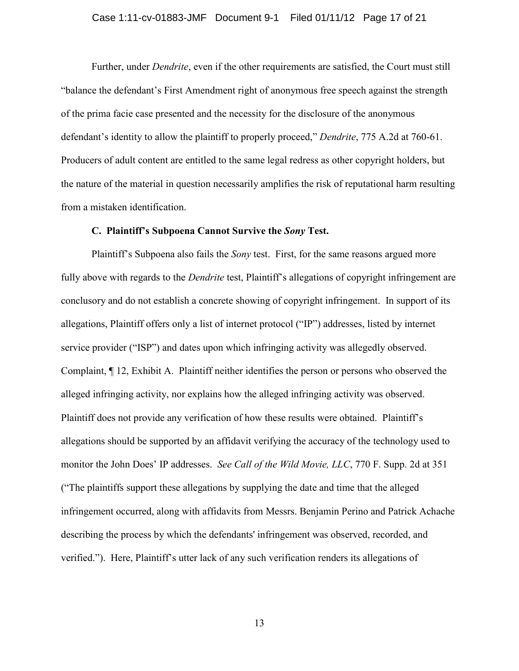#### Case 1:11-cv-01883-JMF Document 9-1 Filed 01/11/12 Page 17 of 21

Further, under *Dendrite*, even if the other requirements are satisfied, the Court must still "balance the defendant"s First Amendment right of anonymous free speech against the strength of the prima facie case presented and the necessity for the disclosure of the anonymous defendant's identity to allow the plaintiff to properly proceed," *Dendrite*, 775 A.2d at 760-61. Producers of adult content are entitled to the same legal redress as other copyright holders, but the nature of the material in question necessarily amplifies the risk of reputational harm resulting from a mistaken identification.

#### **C. Plaintiff's Subpoena Cannot Survive the** *Sony* **Test.**

Plaintiff"s Subpoena also fails the *Sony* test. First, for the same reasons argued more fully above with regards to the *Dendrite* test, Plaintiff's allegations of copyright infringement are conclusory and do not establish a concrete showing of copyright infringement. In support of its allegations, Plaintiff offers only a list of internet protocol ("IP") addresses, listed by internet service provider ("ISP") and dates upon which infringing activity was allegedly observed. Complaint, ¶ 12, Exhibit A. Plaintiff neither identifies the person or persons who observed the alleged infringing activity, nor explains how the alleged infringing activity was observed. Plaintiff does not provide any verification of how these results were obtained. Plaintiff"s allegations should be supported by an affidavit verifying the accuracy of the technology used to monitor the John Does" IP addresses. *See Call of the Wild Movie, LLC*, 770 F. Supp. 2d at 351 ("The plaintiffs support these allegations by supplying the date and time that the alleged infringement occurred, along with affidavits from Messrs. Benjamin Perino and Patrick Achache describing the process by which the defendants' infringement was observed, recorded, and verified."). Here, Plaintiff"s utter lack of any such verification renders its allegations of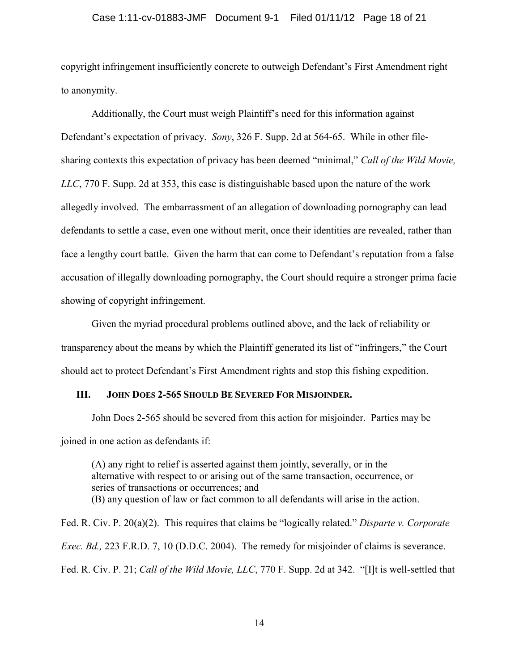#### Case 1:11-cv-01883-JMF Document 9-1 Filed 01/11/12 Page 18 of 21

copyright infringement insufficiently concrete to outweigh Defendant"s First Amendment right to anonymity.

Additionally, the Court must weigh Plaintiff"s need for this information against Defendant"s expectation of privacy. *Sony*, 326 F. Supp. 2d at 564-65. While in other filesharing contexts this expectation of privacy has been deemed "minimal," *Call of the Wild Movie, LLC*, 770 F. Supp. 2d at 353, this case is distinguishable based upon the nature of the work allegedly involved. The embarrassment of an allegation of downloading pornography can lead defendants to settle a case, even one without merit, once their identities are revealed, rather than face a lengthy court battle. Given the harm that can come to Defendant"s reputation from a false accusation of illegally downloading pornography, the Court should require a stronger prima facie showing of copyright infringement.

Given the myriad procedural problems outlined above, and the lack of reliability or transparency about the means by which the Plaintiff generated its list of "infringers," the Court should act to protect Defendant"s First Amendment rights and stop this fishing expedition.

#### **III. JOHN DOES 2-565 SHOULD BE SEVERED FOR MISJOINDER.**

John Does 2-565 should be severed from this action for misjoinder. Parties may be joined in one action as defendants if:

(A) any right to relief is asserted against them jointly, severally, or in the alternative with respect to or arising out of the same transaction, occurrence, or series of transactions or occurrences; and (B) any question of law or fact common to all defendants will arise in the action.

Fed. R. Civ. P. 20(a)(2). This requires that claims be "logically related." *Disparte v. Corporate Exec. Bd.,* 223 F.R.D. 7, 10 (D.D.C. 2004). The remedy for misjoinder of claims is severance. Fed. R. Civ. P. 21; *Call of the Wild Movie, LLC*, 770 F. Supp. 2d at 342. "[I]t is well-settled that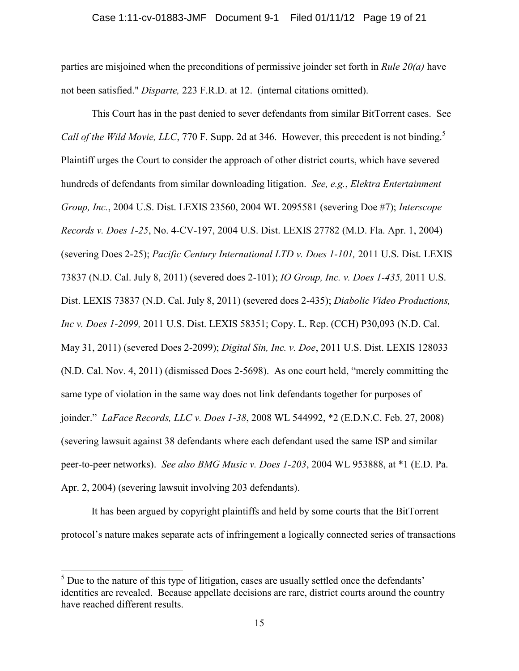parties are misjoined when the preconditions of permissive joinder set forth in *Rule 20(a)* have not been satisfied." *Disparte,* 223 F.R.D. at 12. (internal citations omitted).

This Court has in the past denied to sever defendants from similar BitTorrent cases. See *Call of the Wild Movie, LLC, 770 F.* Supp. 2d at 346. However, this precedent is not binding.<sup>5</sup> Plaintiff urges the Court to consider the approach of other district courts, which have severed hundreds of defendants from similar downloading litigation. *See, e.g.*, *Elektra Entertainment Group, Inc.*, 2004 U.S. Dist. LEXIS 23560, 2004 WL 2095581 (severing Doe #7); *Interscope Records v. Does 1-25*, No. 4-CV-197, 2004 U.S. Dist. LEXIS 27782 (M.D. Fla. Apr. 1, 2004) (severing Does 2-25); *Pacific Century International LTD v. Does 1-101,* 2011 U.S. Dist. LEXIS 73837 (N.D. Cal. July 8, 2011) (severed does 2-101); *IO Group, Inc. v. Does 1-435,* 2011 U.S. Dist. LEXIS 73837 (N.D. Cal. July 8, 2011) (severed does 2-435); *Diabolic Video Productions, Inc v. Does 1-2099,* 2011 U.S. Dist. LEXIS 58351; Copy. L. Rep. (CCH) P30,093 (N.D. Cal. May 31, 2011) (severed Does 2-2099); *Digital Sin, Inc. v. Doe*, 2011 U.S. Dist. LEXIS 128033 (N.D. Cal. Nov. 4, 2011) (dismissed Does 2-5698). As one court held, "merely committing the same type of violation in the same way does not link defendants together for purposes of joinder." *LaFace Records, LLC v. Does 1-38*, 2008 WL 544992, \*2 (E.D.N.C. Feb. 27, 2008) (severing lawsuit against 38 defendants where each defendant used the same ISP and similar peer-to-peer networks). *See also BMG Music v. Does 1-203*, 2004 WL 953888, at \*1 (E.D. Pa. Apr. 2, 2004) (severing lawsuit involving 203 defendants).

It has been argued by copyright plaintiffs and held by some courts that the BitTorrent protocol"s nature makes separate acts of infringement a logically connected series of transactions

 $\overline{a}$ 

 $<sup>5</sup>$  Due to the nature of this type of litigation, cases are usually settled once the defendants'</sup> identities are revealed. Because appellate decisions are rare, district courts around the country have reached different results.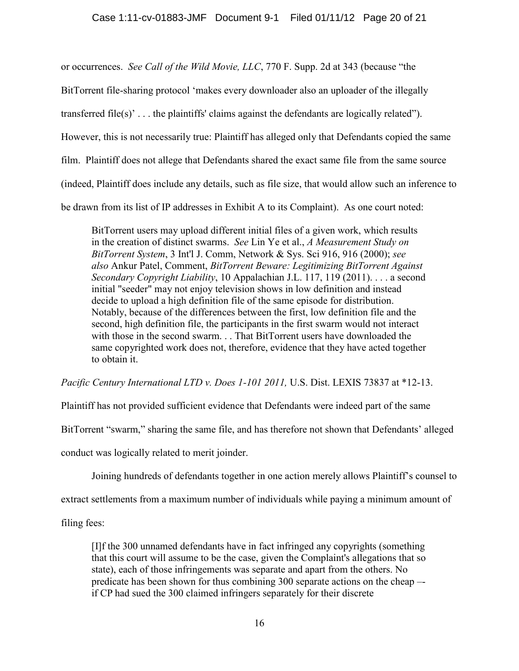or occurrences. *See Call of the Wild Movie, LLC*, 770 F. Supp. 2d at 343 (because "the

BitTorrent file-sharing protocol "makes every downloader also an uploader of the illegally

transferred file(s)'... the plaintiffs' claims against the defendants are logically related").

However, this is not necessarily true: Plaintiff has alleged only that Defendants copied the same

film. Plaintiff does not allege that Defendants shared the exact same file from the same source

(indeed, Plaintiff does include any details, such as file size, that would allow such an inference to

be drawn from its list of IP addresses in Exhibit A to its Complaint). As one court noted:

BitTorrent users may upload different initial files of a given work, which results in the creation of distinct swarms. *See* Lin Ye et al., *A Measurement Study on BitTorrent System*, 3 Int'l J. Comm, Network & Sys. Sci 916, 916 (2000); *see also* Ankur Patel, Comment, *BitTorrent Beware: Legitimizing BitTorrent Against Secondary Copyright Liability*, 10 Appalachian J.L. 117, 119 (2011). . . . a second initial "seeder" may not enjoy television shows in low definition and instead decide to upload a high definition file of the same episode for distribution. Notably, because of the differences between the first, low definition file and the second, high definition file, the participants in the first swarm would not interact with those in the second swarm. . . That BitTorrent users have downloaded the same copyrighted work does not, therefore, evidence that they have acted together to obtain it.

*Pacific Century International LTD v. Does 1-101 2011,* U.S. Dist. LEXIS 73837 at \*12-13.

Plaintiff has not provided sufficient evidence that Defendants were indeed part of the same

BitTorrent "swarm," sharing the same file, and has therefore not shown that Defendants' alleged

conduct was logically related to merit joinder.

Joining hundreds of defendants together in one action merely allows Plaintiff"s counsel to

extract settlements from a maximum number of individuals while paying a minimum amount of

filing fees:

[I]f the 300 unnamed defendants have in fact infringed any copyrights (something that this court will assume to be the case, given the Complaint's allegations that so state), each of those infringements was separate and apart from the others. No predicate has been shown for thus combining 300 separate actions on the cheap – if CP had sued the 300 claimed infringers separately for their discrete